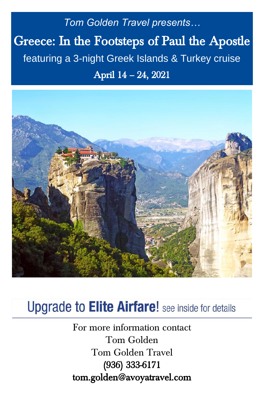*Tom Golden Travel presents…* Greece: In the Footsteps of Paul the Apostle *featuring a 3-night Greek Islands & Turkey cruise* April 14 – 24, 2021



# **Upgrade to Elite Airfare!** see inside for details

For more information contact Tom Golden Tom Golden Travel (936) 333-6171 tom.golden@avoyatravel.com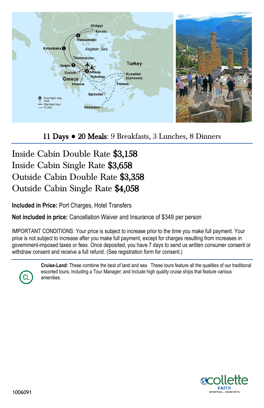

11 Days **●** 20 Meals: 9 Breakfasts, 3 Lunches, 8 Dinners

## Inside Cabin Double Rate \$3,158 Inside Cabin Single Rate \$3,658 Outside Cabin Double Rate \$3,358 Outside Cabin Single Rate \$4,058

**Included in Price:** Port Charges, Hotel Transfers

**Not included in price:** Cancellation Waiver and Insurance of \$349 per person

IMPORTANT CONDITIONS: Your price is subject to increase prior to the time you make full payment. Your price is not subject to increase after you make full payment, except for charges resulting from increases in government-imposed taxes or fees. Once deposited, you have 7 days to send us written consumer consent or withdraw consent and receive a full refund. (See registration form for consent.)

**Cruise-Land:** These combine the best of land and sea. These tours feature all the qualities of our traditional escorted tours, including a Tour Manager; and include high quality cruise ships that feature various amenities.

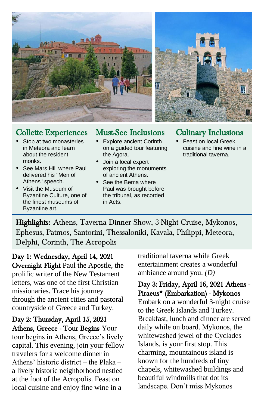



### Collette Experiences

- Stop at two monasteries in Meteora and learn about the resident monks.
- See Mars Hill where Paul delivered his "Men of Athens" speech.
- Visit the Museum of Byzantine Culture, one of the finest museums of Byzantine art.

## Must-See Inclusions

- Explore ancient Corinth on a guided tour featuring the Agora.
- Join a local expert exploring the monuments of ancient Athens.
- See the Bema where Paul was brought before the tribunal, as recorded in Acts.

### Culinary Inclusions

 Feast on local Greek cuisine and fine wine in a traditional taverna.

Highlights: Athens, Taverna Dinner Show, 3-Night Cruise, Mykonos, Ephesus, Patmos, Santorini, Thessaloniki, Kavala, Philippi, Meteora, Delphi, Corinth, The Acropolis

Day 1: Wednesday, April 14, 2021 Overnight Flight Paul the Apostle, the prolific writer of the New Testament letters, was one of the first Christian missionaries. Trace his journey through the ancient cities and pastoral countryside of Greece and Turkey.

Day 2: Thursday, April 15, 2021 Athens, Greece - Tour Begins Your tour begins in Athens, Greece's lively capital. This evening, join your fellow travelers for a welcome dinner in Athens' historic district – the Plaka – a lively historic neighborhood nestled at the foot of the Acropolis. Feast on local cuisine and enjoy fine wine in a

traditional taverna while Greek entertainment creates a wonderful ambiance around you. *(D)*

#### Day 3: Friday, April 16, 2021 Athens - Piraeus\* (Embarkation) - Mykonos

Embark on a wonderful 3-night cruise to the Greek Islands and Turkey. Breakfast, lunch and dinner are served daily while on board. Mykonos, the whitewashed jewel of the Cyclades Islands, is your first stop. This charming, mountainous island is known for the hundreds of tiny chapels, whitewashed buildings and beautiful windmills that dot its landscape. Don't miss Mykonos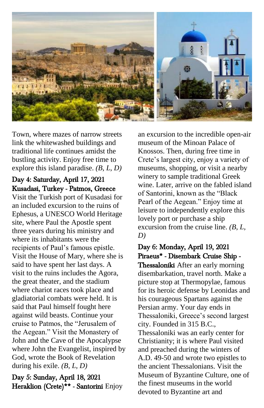

Town, where mazes of narrow streets link the whitewashed buildings and traditional life continues amidst the bustling activity. Enjoy free time to explore this island paradise. *(B, L, D)*

### Day 4: Saturday, April 17, 2021 Kusadasi, Turkey - Patmos, Greece

Visit the Turkish port of Kusadasi for an included excursion to the ruins of Ephesus, a UNESCO World Heritage site, where Paul the Apostle spent three years during his ministry and where its inhabitants were the recipients of Paul's famous epistle. Visit the House of Mary, where she is said to have spent her last days. A visit to the ruins includes the Agora, the great theater, and the stadium where chariot races took place and gladiatorial combats were held. It is said that Paul himself fought here against wild beasts. Continue your cruise to Patmos, the "Jerusalem of the Aegean." Visit the Monastery of John and the Cave of the Apocalypse where John the Evangelist, inspired by God, wrote the Book of Revelation during his exile. *(B, L, D)*

Day 5: Sunday, April 18, 2021 Heraklion (Crete)\*\* - Santorini Enjoy

an excursion to the incredible open-air museum of the Minoan Palace of Knossos. Then, during free time in Crete's largest city, enjoy a variety of museums, shopping, or visit a nearby winery to sample traditional Greek wine. Later, arrive on the fabled island of Santorini, known as the "Black Pearl of the Aegean." Enjoy time at leisure to independently explore this lovely port or purchase a ship excursion from the cruise line. *(B, L, D)*

### Day 6: Monday, April 19, 2021 Piraeus\* - Disembark Cruise Ship -

Thessaloniki After an early morning disembarkation, travel north. Make a picture stop at Thermopylae, famous for its heroic defense by Leonidas and his courageous Spartans against the Persian army. Your day ends in Thessaloniki, Greece's second largest city. Founded in 315 B.C., Thessaloniki was an early center for Christianity; it is where Paul visited and preached during the winters of A.D. 49-50 and wrote two epistles to the ancient Thessalonians. Visit the Museum of Byzantine Culture, one of the finest museums in the world devoted to Byzantine art and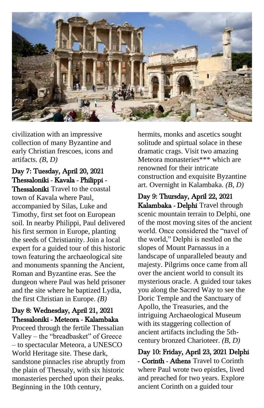

civilization with an impressive collection of many Byzantine and early Christian frescoes, icons and artifacts. *(B, D)*

### Day 7: Tuesday, April 20, 2021 Thessaloniki - Kavala - Philippi -

Thessaloniki Travel to the coastal town of Kavala where Paul, accompanied by Silas, Luke and Timothy, first set foot on European soil. In nearby Philippi, Paul delivered his first sermon in Europe, planting the seeds of Christianity. Join a local expert for a guided tour of this historic town featuring the archaeological site and monuments spanning the Ancient, Roman and Byzantine eras. See the dungeon where Paul was held prisoner and the site where he baptized Lydia, the first Christian in Europe. *(B)*

#### Day 8: Wednesday, April 21, 2021 Thessaloniki - Meteora - Kalambaka

Proceed through the fertile Thessalian Valley – the "breadbasket" of Greece – to spectacular Meteora, a UNESCO World Heritage site. These dark, sandstone pinnacles rise abruptly from the plain of Thessaly, with six historic monasteries perched upon their peaks. Beginning in the 10th century,

hermits, monks and ascetics sought solitude and spirtual solace in these dramatic crags. Visit two amazing Meteora monasteries\*\*\* which are renowned for their intricate construction and exquisite Byzantine art. Overnight in Kalambaka. *(B, D)*

Day 9: Thursday, April 22, 2021 Kalambaka - Delphi Travel through scenic mountain terrain to Delphi, one of the most moving sites of the ancient world. Once considered the "navel of the world," Delphi is nestled on the slopes of Mount Parnassus in a landscape of unparalleled beauty and majesty. Pilgrims once came from all over the ancient world to consult its mysterious oracle. A guided tour takes you along the Sacred Way to see the Doric Temple and the Sanctuary of Apollo, the Treasuries, and the intriguing Archaeological Museum with its staggering collection of ancient artifacts including the 5thcentury bronzed Charioteer. *(B, D)*

Day 10: Friday, April 23, 2021 Delphi - Corinth - Athens Travel to Corinth where Paul wrote two epistles, lived and preached for two years. Explore ancient Corinth on a guided tour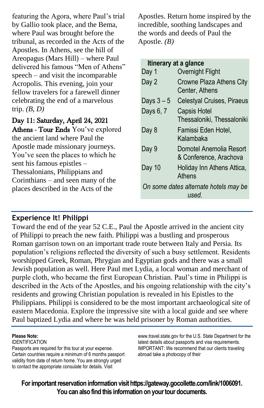featuring the Agora, where Paul's trial by Gallio took place, and the Bema, where Paul was brought before the tribunal, as recorded in the Acts of the Apostles. In Athens, see the hill of Areopagus (Mars Hill) – where Paul delivered his famous "Men of Athens" speech – and visit the incomparable Acropolis. This evening, join your fellow travelers for a farewell dinner celebrating the end of a marvelous trip. *(B, D)*

Day 11: Saturday, April 24, 2021 Athens - Tour Ends You've explored the ancient land where Paul the Apostle made missionary journeys. You've seen the places to which he sent his famous epistles – Thessalonians, Philippians and Corinthians – and seen many of the places described in the Acts of the

Apostles. Return home inspired by the incredible, soothing landscapes and the words and deeds of Paul the Apostle. *(B)*

#### **Itinerary at a glance**

| Day 1                                          | Overnight Flight                                  |
|------------------------------------------------|---------------------------------------------------|
| Day 2                                          | Crowne Plaza Athens City<br>Center, Athens        |
| Days $3-5$                                     | Celestyal Cruises, Piraeus                        |
| Days 6, 7                                      | <b>Capsis Hotel</b><br>Thessaloniki, Thessaloniki |
| Day 8                                          | Famissi Eden Hotel,<br>Kalambaka                  |
| Day 9                                          | Domotel Anemolia Resort<br>& Conference, Arachova |
| Day 10                                         | Holiday Inn Athens Attica,<br>Athens              |
| On some dates alternate hotels may be<br>used. |                                                   |

#### **Experience It! Philippi**

Toward the end of the year 52 C.E., Paul the Apostle arrived in the ancient city of Philippi to preach the new faith. Philippi was a bustling and prosperous Roman garrison town on an important trade route between Italy and Persia. Its population's religions reflected the diversity of such a busy settlement. Residents worshipped Greek, Roman, Phrygian and Egyptian gods and there was a small Jewish population as well. Here Paul met Lydia, a local woman and merchant of purple cloth, who became the first European Christian. Paul's time in Philippi is described in the Acts of the Apostles, and his ongoing relationship with the city's residents and growing Christian population is revealed in his Epistles to the Philippians. Philippi is considered to be the most important archaeological site of eastern Macedonia. Explore the impressive site with a local guide and see where Paul baptized Lydia and where he was held prisoner by Roman authorities.

#### **Please Note:**

IDENTIFICATION

Passports are required for this tour at your expense. Certain countries require a minimum of 6 months passport validity from date of return home. You are strongly urged to contact the appropriate consulate for details. Visit

www.travel.state.gov for the U.S. State Department for the latest details about passports and visa requirements. IMPORTANT: We recommend that our clients traveling abroad take a photocopy of their

**For important reservation information visit https://gateway.gocollette.com/link/1006091. You can also find this information on your tour documents.**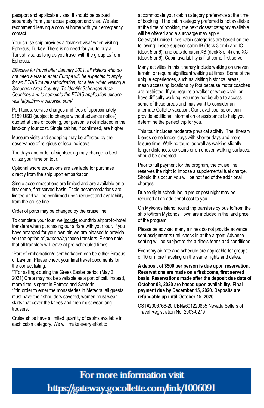passport and applicable visas. It should be packed separately from your actual passport and visa. We also recommend leaving a copy at home with your emergency contact.

Your cruise ship provides a "blanket visa" when visiting Ephesus, Turkey. There is no need for you to buy a Turkish visa as long as you travel with the group to/from Ephesus.

*Effective for travel after January 2021, all visitors who do not need a visa to enter Europe will be expected to apply for an ETIAS travel authorization, for a fee, when visiting a Schengen Area Country. To identify Schengen Area Countries and to complete the ETIAS application, please visit https://www.etiasvisa.com/*

Port taxes, service charges and fees of approximately \$159 USD (subject to change without advance notice), quoted at time of booking, per person is not included in the land-only tour cost. Single cabins, if confirmed, are higher.

Museum visits and shopping may be affected by the observance of religious or local holidays.

The days and order of sightseeing may change to best utilize your time on tour.

Optional shore excursions are available for purchase directly from the ship upon embarkation.

Single accommodations are limited and are available on a first come, first served basis. Triple accommodations are limited and will be confirmed upon request and availability from the cruise line.

Order of ports may be changed by the cruise line.

To complete your tour, we include roundtrip airport-to-hotel transfers when purchasing our airfare with your tour. If you have arranged for your own air, we are pleased to provide you the option of *purchasing* these transfers. Please note that all transfers will leave at pre-scheduled times.

\*Port of embarkation/disembarkation can be either Piraeus or Lavrion. Please check your final travel documents for the correct listing.

\*\*For sailings during the Greek Easter period (May 2, 2021) Crete may not be available as a port of call. Instead, more time is spent in Patmos and Santorini.

\*\*\*In order to enter the monasteries in Meteora, all guests must have their shoulders covered, women must wear skirts that cover the knees and men must wear long trousers.

Cruise ships have a limited quantity of cabins available in each cabin category. We will make every effort to

accommodate your cabin category preference at the time of booking. If the cabin category preferred is not available at the time of booking, the next closest category available will be offered and a surcharge may apply.

Celestyal Cruise Lines cabin categories are based on the following: Inside superior cabin IB (deck 3 or 4) and IC (deck 5 or 6); and outside cabin XB (deck 3 or 4) and XC (deck 5 or 6). Cabin availability is first come first serve.

Many activities in this itinerary include walking on uneven terrain, or require significant walking at times. Some of the unique experiences, such as visiting historical areas, mean accessing locations by foot because motor coaches are restricted. If you require a walker or wheelchair, or have difficulty walking, you may not be able to access some of these areas and may want to consider an alternate Collette vacation. Our travel counselors can provide additional information or assistance to help you determine the perfect trip for you.

This tour includes moderate physical activity. The itinerary blends some longer days with shorter days and more leisure time. Walking tours, as well as walking slightly longer distances, up stairs or on uneven walking surfaces, should be expected.

Prior to full payment for the program, the cruise line reserves the right to impose a supplemental fuel charge. Should this occur, you will be notified of the additional charges.

Due to flight schedules, a pre or post night may be required at an additional cost to you.

On Mykonos Island, round trip transfers by bus to/from the ship to/from Mykonos Town are included in the land price of the program.

Please be advised many airlines do not provide advance seat assignments until check-in at the airport. Advance seating will be subject to the airline's terms and conditions.

Economy air rate and schedule are applicable for groups of 10 or more traveling on the same flights and dates.

**A deposit of \$500 per person is due upon reservation. Reservations are made on a first come, first served basis. Reservations made after the deposit due date of October 08, 2020 are based upon availability. Final payment due by December 15, 2020. Deposits are refundable up until October 15, 2020.**

CST#2006766-20 UBN#601220855 Nevada Sellers of Travel Registration No. 2003-0279

For more information visit https://gateway.gocollette.com/link/1006091